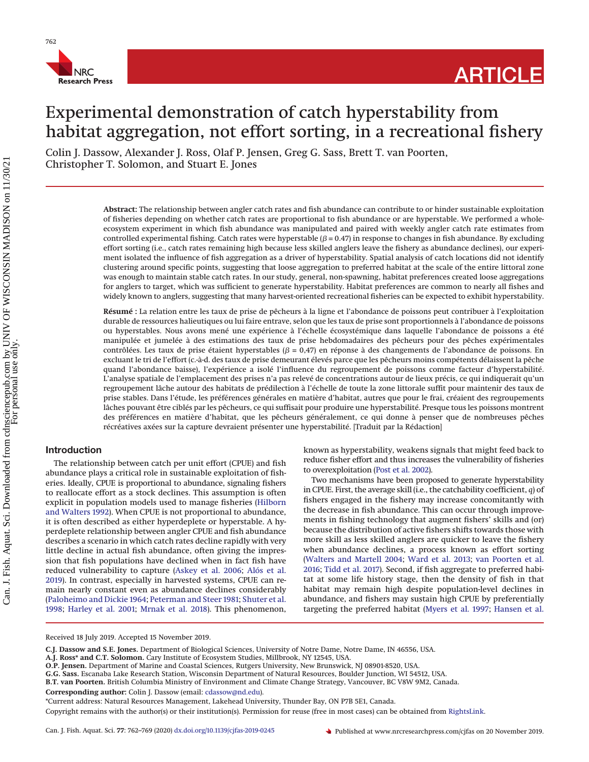

# Experimental demonstration of catch hyperstability from habitat aggregation, not effort sorting, in a recreational fishery

Colin J. Dassow, Alexander J. Ross, Olaf P. Jensen, Greg G. Sass, Brett T. van Poorten, Christopher T. Solomon, and Stuart E. Jones

> **Abstract:** The relationship between angler catch rates and fish abundance can contribute to or hinder sustainable exploitation of fisheries depending on whether catch rates are proportional to fish abundance or are hyperstable. We performed a wholeecosystem experiment in which fish abundance was manipulated and paired with weekly angler catch rate estimates from controlled experimental fishing. Catch rates were hyperstable  $(\beta = 0.47)$  in response to changes in fish abundance. By excluding effort sorting (i.e., catch rates remaining high because less skilled anglers leave the fishery as abundance declines), our experiment isolated the influence of fish aggregation as a driver of hyperstability. Spatial analysis of catch locations did not identify clustering around specific points, suggesting that loose aggregation to preferred habitat at the scale of the entire littoral zone was enough to maintain stable catch rates. In our study, general, non-spawning, habitat preferences created loose aggregations for anglers to target, which was sufficient to generate hyperstability. Habitat preferences are common to nearly all fishes and widely known to anglers, suggesting that many harvest-oriented recreational fisheries can be expected to exhibit hyperstability.

> **Résumé :** La relation entre les taux de prise de pêcheurs à la ligne et l'abondance de poissons peut contribuer à l'exploitation durable de ressources halieutiques ou lui faire entrave, selon que les taux de prise sont proportionnels à l'abondance de poissons ou hyperstables. Nous avons mené une expérience à l'échelle écosystémique dans laquelle l'abondance de poissons a été manipulée et jumelée à des estimations des taux de prise hebdomadaires des pêcheurs pour des pêches expérimentales contrôlées. Les taux de prise étaient hyperstables ( $\beta$  = 0,47) en réponse à des changements de l'abondance de poissons. En excluant le tri de l'effort (c.-à-d. des taux de prise demeurant élevés parce que les pêcheurs moins compétents délaissent la pêche quand l'abondance baisse), l'expérience a isolé l'influence du regroupement de poissons comme facteur d'hyperstabilité. L'analyse spatiale de l'emplacement des prises n'a pas relevé de concentrations autour de lieux précis, ce qui indiquerait qu'un regroupement lâche autour des habitats de prédilection à l'échelle de toute la zone littorale suffit pour maintenir des taux de prise stables. Dans l'étude, les préférences générales en matière d'habitat, autres que pour le frai, créaient des regroupements lâches pouvant être ciblés par les pêcheurs, ce qui suffisait pour produire une hyperstabilité. Presque tous les poissons montrent des préférences en matière d'habitat, que les pêcheurs généralement, ce qui donne à penser que de nombreuses pêches récréatives axées sur la capture devraient présenter une hyperstabilité. [Traduit par la Rédaction]

## **Introduction**

The relationship between catch per unit effort (CPUE) and fish abundance plays a critical role in sustainable exploitation of fisheries. Ideally, CPUE is proportional to abundance, signaling fishers to reallocate effort as a stock declines. This assumption is often explicit in population models used to manage fisheries [\(Hilborn](#page-6-0) [and Walters 1992\)](#page-6-0). When CPUE is not proportional to abundance, it is often described as either hyperdeplete or hyperstable. A hyperdeplete relationship between angler CPUE and fish abundance describes a scenario in which catch rates decline rapidly with very little decline in actual fish abundance, often giving the impression that fish populations have declined when in fact fish have reduced vulnerability to capture [\(Askey et al. 2006;](#page-6-1) [Alós et al.](#page-6-2) [2019\)](#page-6-2). In contrast, especially in harvested systems, CPUE can remain nearly constant even as abundance declines considerably [\(Paloheimo and Dickie 1964;](#page-6-3) [Peterman and Steer 1981;](#page-6-4) [Shuter et al.](#page-7-0) [1998;](#page-7-0) [Harley et al. 2001;](#page-6-5) [Mrnak et al. 2018\)](#page-6-6). This phenomenon, known as hyperstability, weakens signals that might feed back to reduce fisher effort and thus increases the vulnerability of fisheries to overexploitation [\(Post et al. 2002\)](#page-6-7).

Two mechanisms have been proposed to generate hyperstability in CPUE. First, the average skill (i.e., the catchability coefficient, *q*) of fishers engaged in the fishery may increase concomitantly with the decrease in fish abundance. This can occur through improvements in fishing technology that augment fishers' skills and (or) because the distribution of active fishers shifts towards those with more skill as less skilled anglers are quicker to leave the fishery when abundance declines, a process known as effort sorting [\(Walters and Martell 2004;](#page-7-1) [Ward et al. 2013;](#page-7-2) [van Poorten et al.](#page-7-3) [2016;](#page-7-3) [Tidd et al. 2017\)](#page-7-4). Second, if fish aggregate to preferred habitat at some life history stage, then the density of fish in that habitat may remain high despite population-level declines in abundance, and fishers may sustain high CPUE by preferentially targeting the preferred habitat [\(Myers et al. 1997;](#page-6-8) [Hansen et al.](#page-6-9)

Received 18 July 2019. Accepted 15 November 2019.

**Corresponding author:** Colin J. Dassow (email: [cdassow@nd.edu\)](mailto:cdassow@nd.edu).

**C.J. Dassow and S.E. Jones.** Department of Biological Sciences, University of Notre Dame, Notre Dame, IN 46556, USA.

**A.J. Ross\* and C.T. Solomon.** Cary Institute of Ecosystem Studies, Millbrook, NY 12545, USA.

**O.P. Jensen.** Department of Marine and Coastal Sciences, Rutgers University, New Brunswick, NJ 08901-8520, USA.

**G.G. Sass.** Escanaba Lake Research Station, Wisconsin Department of Natural Resources, Boulder Junction, WI 54512, USA.

**B.T. van Poorten.** British Columbia Ministry of Environment and Climate Change Strategy, Vancouver, BC V8W 9M2, Canada.

<sup>\*</sup>Current address: Natural Resources Management, Lakehead University, Thunder Bay, ON P7B 5E1, Canada.

Copyright remains with the author(s) or their institution(s). Permission for reuse (free in most cases) can be obtained from [RightsLink.](http://www.nrcresearchpress.com/page/authors/services/reprints)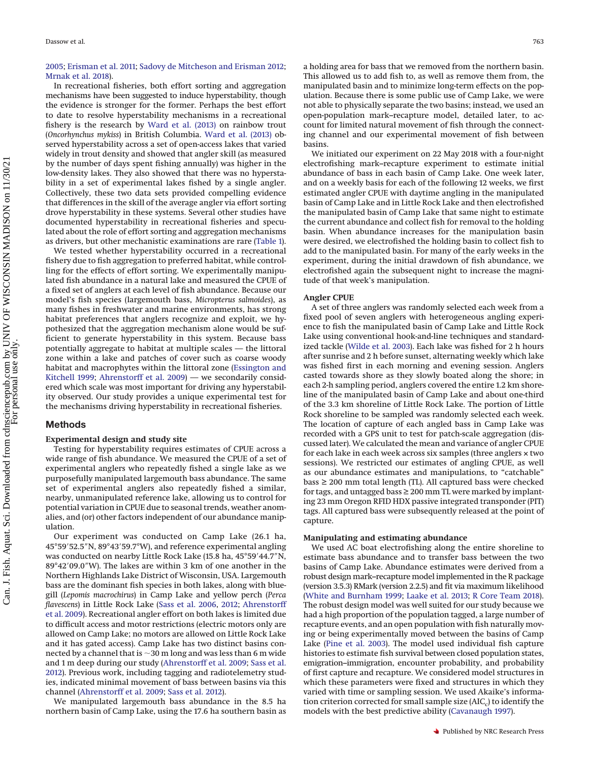## [2005;](#page-6-9) [Erisman et al. 2011;](#page-6-10) [Sadovy de Mitcheson and Erisman 2012;](#page-6-11) [Mrnak et al. 2018\)](#page-6-6).

In recreational fisheries, both effort sorting and aggregation mechanisms have been suggested to induce hyperstability, though the evidence is stronger for the former. Perhaps the best effort to date to resolve hyperstability mechanisms in a recreational fishery is the research by [Ward et al. \(2013\)](#page-7-2) on rainbow trout (*Oncorhynchus mykiss*) in British Columbia. [Ward et al. \(2013\)](#page-7-2) observed hyperstability across a set of open-access lakes that varied widely in trout density and showed that angler skill (as measured by the number of days spent fishing annually) was higher in the low-density lakes. They also showed that there was no hyperstability in a set of experimental lakes fished by a single angler. Collectively, these two data sets provided compelling evidence that differences in the skill of the average angler via effort sorting drove hyperstability in these systems. Several other studies have documented hyperstability in recreational fisheries and speculated about the role of effort sorting and aggregation mechanisms as drivers, but other mechanistic examinations are rare [\(Table 1\)](#page-2-0).

We tested whether hyperstability occurred in a recreational fishery due to fish aggregation to preferred habitat, while controlling for the effects of effort sorting. We experimentally manipulated fish abundance in a natural lake and measured the CPUE of a fixed set of anglers at each level of fish abundance. Because our model's fish species (largemouth bass, *Micropterus salmoides*), as many fishes in freshwater and marine environments, has strong habitat preferences that anglers recognize and exploit, we hypothesized that the aggregation mechanism alone would be sufficient to generate hyperstability in this system. Because bass potentially aggregate to habitat at multiple scales — the littoral zone within a lake and patches of cover such as coarse woody habitat and macrophytes within the littoral zone [\(Essington and](#page-6-12) [Kitchell 1999;](#page-6-12) [Ahrenstorff et al. 2009\)](#page-6-13) — we secondarily considered which scale was most important for driving any hyperstability observed. Our study provides a unique experimental test for the mechanisms driving hyperstability in recreational fisheries.

#### **Methods**

#### **Experimental design and study site**

Testing for hyperstability requires estimates of CPUE across a wide range of fish abundance. We measured the CPUE of a set of experimental anglers who repeatedly fished a single lake as we purposefully manipulated largemouth bass abundance. The same set of experimental anglers also repeatedly fished a similar, nearby, unmanipulated reference lake, allowing us to control for potential variation in CPUE due to seasonal trends, weather anomalies, and (or) other factors independent of our abundance manipulation.

Our experiment was conducted on Camp Lake (26.1 ha, 45°59′52.5"N, 89°43′59.7°W), and reference experimental angling was conducted on nearby Little Rock Lake (15.8 ha, 45°59'44.7"N, 89°42'09.0"W). The lakes are within 3 km of one another in the Northern Highlands Lake District of Wisconsin, USA. Largemouth bass are the dominant fish species in both lakes, along with bluegill (*Lepomis macrochirus*) in Camp Lake and yellow perch (*Perca flavescens*) in Little Rock Lake [\(Sass et al. 2006,](#page-6-14) [2012;](#page-6-15) [Ahrenstorff](#page-6-13) [et al. 2009\)](#page-6-13). Recreational angler effort on both lakes is limited due to difficult access and motor restrictions (electric motors only are allowed on Camp Lake; no motors are allowed on Little Rock Lake and it has gated access). Camp Lake has two distinct basins connected by a channel that is  ${\sim}$ 30 m long and was less than 6 m wide and 1 m deep during our study [\(Ahrenstorff et al. 2009;](#page-6-13) [Sass et al.](#page-6-15) [2012\)](#page-6-15). Previous work, including tagging and radiotelemetry studies, indicated minimal movement of bass between basins via this channel [\(Ahrenstorff et al. 2009;](#page-6-13) [Sass et al. 2012\)](#page-6-15).

We manipulated largemouth bass abundance in the 8.5 ha northern basin of Camp Lake, using the 17.6 ha southern basin as a holding area for bass that we removed from the northern basin. This allowed us to add fish to, as well as remove them from, the manipulated basin and to minimize long-term effects on the population. Because there is some public use of Camp Lake, we were not able to physically separate the two basins; instead, we used an open-population mark–recapture model, detailed later, to account for limited natural movement of fish through the connecting channel and our experimental movement of fish between basins.

We initiated our experiment on 22 May 2018 with a four-night electrofishing mark–recapture experiment to estimate initial abundance of bass in each basin of Camp Lake. One week later, and on a weekly basis for each of the following 12 weeks, we first estimated angler CPUE with daytime angling in the manipulated basin of Camp Lake and in Little Rock Lake and then electrofished the manipulated basin of Camp Lake that same night to estimate the current abundance and collect fish for removal to the holding basin. When abundance increases for the manipulation basin were desired, we electrofished the holding basin to collect fish to add to the manipulated basin. For many of the early weeks in the experiment, during the initial drawdown of fish abundance, we electrofished again the subsequent night to increase the magnitude of that week's manipulation.

## **Angler CPUE**

A set of three anglers was randomly selected each week from a fixed pool of seven anglers with heterogeneous angling experience to fish the manipulated basin of Camp Lake and Little Rock Lake using conventional hook-and-line techniques and standardized tackle [\(Wilde et al. 2003\)](#page-7-5). Each lake was fished for 2 h hours after sunrise and 2 h before sunset, alternating weekly which lake was fished first in each morning and evening session. Anglers casted towards shore as they slowly boated along the shore; in each 2-h sampling period, anglers covered the entire 1.2 km shoreline of the manipulated basin of Camp Lake and about one-third of the 3.3 km shoreline of Little Rock Lake. The portion of Little Rock shoreline to be sampled was randomly selected each week. The location of capture of each angled bass in Camp Lake was recorded with a GPS unit to test for patch-scale aggregation (discussed later). We calculated the mean and variance of angler CPUE for each lake in each week across six samples (three anglers × two sessions). We restricted our estimates of angling CPUE, as well as our abundance estimates and manipulations, to "catchable" bass ≥ 200 mm total length (TL). All captured bass were checked for tags, and untagged bass  $\geq 200$  mm TL were marked by implanting 23 mm Oregon RFID HDX passive integrated transponder (PIT) tags. All captured bass were subsequently released at the point of capture.

## **Manipulating and estimating abundance**

We used AC boat electrofishing along the entire shoreline to estimate bass abundance and to transfer bass between the two basins of Camp Lake. Abundance estimates were derived from a robust design mark–recapture model implemented in the R package (version 3.5.3) RMark (version 2.2.5) and fit via maximum likelihood [\(White and Burnham 1999;](#page-7-6) [Laake et al. 2013;](#page-6-16) [R Core Team 2018\)](#page-6-17). The robust design model was well suited for our study because we had a high proportion of the population tagged, a large number of recapture events, and an open population with fish naturally moving or being experimentally moved between the basins of Camp Lake [\(Pine et al. 2003\)](#page-6-18). The model used individual fish capture histories to estimate fish survival between closed population states, emigration–immigration, encounter probability, and probability of first capture and recapture. We considered model structures in which these parameters were fixed and structures in which they varied with time or sampling session. We used Akaike's information criterion corrected for small sample size (AIC<sub>c</sub>) to identify the models with the best predictive ability [\(Cavanaugh 1997\)](#page-6-19).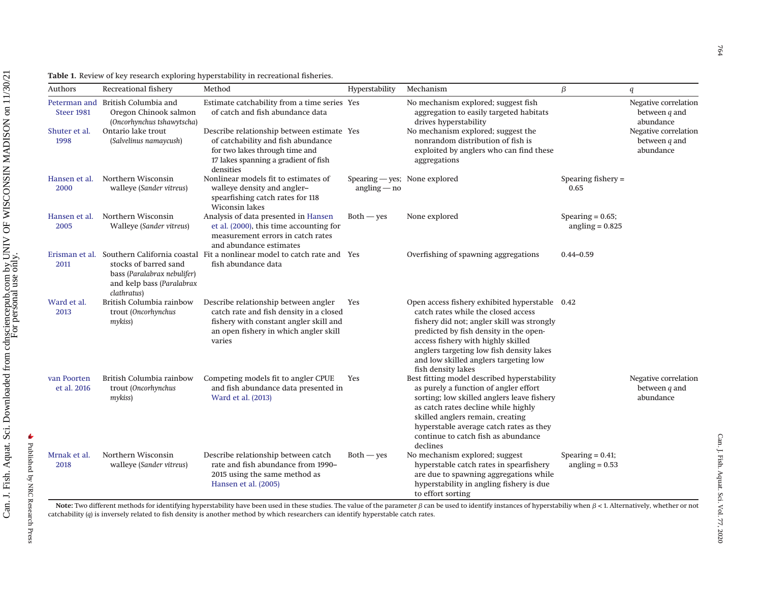<span id="page-2-0"></span>

| Authors                           | Recreational fishery                                                                             | Method                                                                                                                                                                       | Hyperstability                                  | Mechanism                                                                                                                                                                                                                                                                                                                      | β                                        | q                                                    |
|-----------------------------------|--------------------------------------------------------------------------------------------------|------------------------------------------------------------------------------------------------------------------------------------------------------------------------------|-------------------------------------------------|--------------------------------------------------------------------------------------------------------------------------------------------------------------------------------------------------------------------------------------------------------------------------------------------------------------------------------|------------------------------------------|------------------------------------------------------|
| Peterman and<br><b>Steer 1981</b> | British Columbia and<br>Oregon Chinook salmon<br>(Oncorhynchus tshawytscha)                      | Estimate catchability from a time series Yes<br>of catch and fish abundance data                                                                                             |                                                 | No mechanism explored; suggest fish<br>aggregation to easily targeted habitats<br>drives hyperstability                                                                                                                                                                                                                        |                                          | Negative correlation<br>between $q$ and<br>abundance |
| Shuter et al.<br>1998             | Ontario lake trout<br>(Salvelinus namaycush)                                                     | Describe relationship between estimate Yes<br>of catchability and fish abundance<br>for two lakes through time and<br>17 lakes spanning a gradient of fish<br>densities      |                                                 | No mechanism explored; suggest the<br>nonrandom distribution of fish is<br>exploited by anglers who can find these<br>aggregations                                                                                                                                                                                             |                                          | Negative correlation<br>between $q$ and<br>abundance |
| Hansen et al.<br>2000             | Northern Wisconsin<br>walleye (Sander vitreus)                                                   | Nonlinear models fit to estimates of<br>walleye density and angler-<br>spearfishing catch rates for 118<br><b>Wiconsin lakes</b>                                             | Spearing - yes; None explored<br>$angling - no$ |                                                                                                                                                                                                                                                                                                                                | Spearing fishery $=$<br>0.65             |                                                      |
| Hansen et al.<br>2005             | Northern Wisconsin<br>Walleye (Sander vitreus)                                                   | Analysis of data presented in Hansen<br>et al. (2000), this time accounting for<br>measurement errors in catch rates<br>and abundance estimates                              | $Both - yes$                                    | None explored                                                                                                                                                                                                                                                                                                                  | Spearing $= 0.65$ ;<br>angling $= 0.825$ |                                                      |
| Erisman et al.<br>2011            | stocks of barred sand<br>bass (Paralabrax nebulifer)<br>and kelp bass (Paralabrax<br>clathratus) | Southern California coastal Fit a nonlinear model to catch rate and Yes<br>fish abundance data                                                                               |                                                 | Overfishing of spawning aggregations                                                                                                                                                                                                                                                                                           | $0.44 - 0.59$                            |                                                      |
| Ward et al.<br>2013               | British Columbia rainbow<br>trout (Oncorhynchus<br>mykiss)                                       | Describe relationship between angler<br>catch rate and fish density in a closed<br>fishery with constant angler skill and<br>an open fishery in which angler skill<br>varies | Yes                                             | Open access fishery exhibited hyperstable 0.42<br>catch rates while the closed access<br>fishery did not; angler skill was strongly<br>predicted by fish density in the open-<br>access fishery with highly skilled<br>anglers targeting low fish density lakes<br>and low skilled anglers targeting low<br>fish density lakes |                                          |                                                      |
| van Poorten<br>et al. 2016        | British Columbia rainbow<br>trout (Oncorhynchus<br>mykiss)                                       | Competing models fit to angler CPUE<br>and fish abundance data presented in<br>Ward et al. (2013)                                                                            | Yes                                             | Best fitting model described hyperstability<br>as purely a function of angler effort<br>sorting; low skilled anglers leave fishery<br>as catch rates decline while highly<br>skilled anglers remain, creating<br>hyperstable average catch rates as they<br>continue to catch fish as abundance<br>declines                    |                                          | Negative correlation<br>between $q$ and<br>abundance |
| Mrnak et al.<br>2018              | Northern Wisconsin<br>walleye (Sander vitreus)                                                   | Describe relationship between catch<br>rate and fish abundance from 1990-<br>2015 using the same method as<br>Hansen et al. (2005)                                           | $Both - yes$                                    | No mechanism explored; suggest<br>hyperstable catch rates in spearfishery<br>are due to spawning aggregations while<br>hyperstability in angling fishery is due<br>to effort sorting                                                                                                                                           | Spearing $= 0.41$ ;<br>angling $= 0.53$  |                                                      |

**Table 1.** Review of key research exploring hyperstability in recreational fisheries.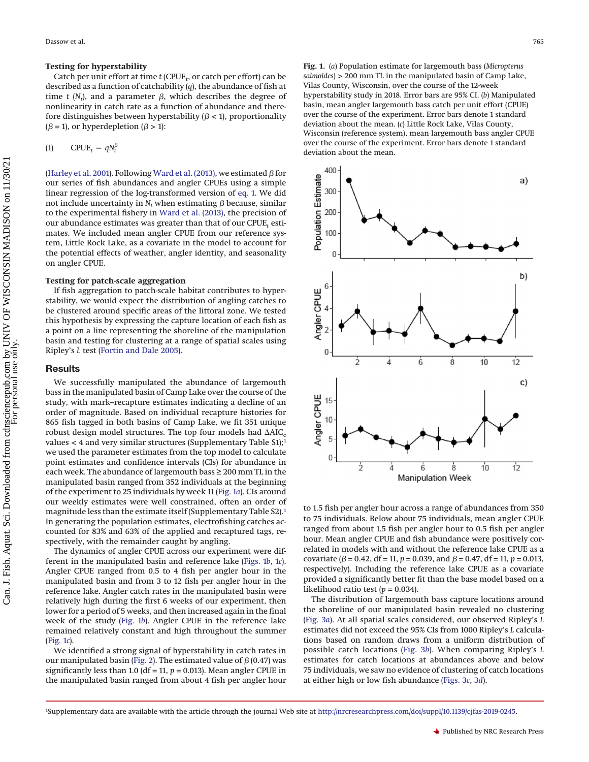#### **Testing for hyperstability**

Catch per unit effort at time *t* (CPUE*<sup>t</sup>* , or catch per effort) can be described as a function of catchability (*q*), the abundance of fish at time  $t$  ( $N_t$ ), and a parameter  $\beta$ , which describes the degree of nonlinearity in catch rate as a function of abundance and therefore distinguishes between hyperstability ( $\beta$  < 1), proportionality  $(\beta = 1)$ , or hyperdepletion  $(\beta > 1)$ :

<span id="page-3-0"></span>
$$
(1) \qquad \text{CPUE}_t = qN_t^{\beta}
$$

[\(Harley et al. 2001\)](#page-6-5). Following [Ward et al. \(2013\),](#page-7-2) we estimated  $\beta$  for our series of fish abundances and angler CPUEs using a simple linear regression of the log-transformed version of [eq. 1.](#page-3-0) We did not include uncertainty in  $N_t$  when estimating  $\beta$  because, similar to the experimental fishery in [Ward et al. \(2013\),](#page-7-2) the precision of our abundance estimates was greater than that of our CPUE<sub>t</sub> estimates. We included mean angler CPUE from our reference system, Little Rock Lake, as a covariate in the model to account for the potential effects of weather, angler identity, and seasonality on angler CPUE.

## **Testing for patch-scale aggregation**

If fish aggregation to patch-scale habitat contributes to hyperstability, we would expect the distribution of angling catches to be clustered around specific areas of the littoral zone. We tested this hypothesis by expressing the capture location of each fish as a point on a line representing the shoreline of the manipulation basin and testing for clustering at a range of spatial scales using Ripley's *L* test [\(Fortin and Dale 2005\)](#page-6-25).

## **Results**

We successfully manipulated the abundance of largemouth bass in the manipulated basin of Camp Lake over the course of the study, with mark–recapture estimates indicating a decline of an order of magnitude. Based on individual recapture histories for 865 fish tagged in both basins of Camp Lake, we fit 351 unique robust design model structures. The top four models had  $\Delta AIC_c$ values  $<$  4 and very similar structures (Supplementary Table S1);<sup>1</sup> we used the parameter estimates from the top model to calculate point estimates and confidence intervals (CIs) for abundance in each week. The abundance of largemouth bass ≥ 200 mm TL in the manipulated basin ranged from 352 individuals at the beginning of the experiment to 25 individuals by week 11 [\(Fig. 1](#page-3-2)*a*). CIs around our weekly estimates were well constrained, often an order of magnitude less than the estimate itself (Supplementary Table S2)[.1](#page-3-1) In generating the population estimates, electrofishing catches accounted for 83% and 63% of the applied and recaptured tags, respectively, with the remainder caught by angling.

The dynamics of angler CPUE across our experiment were different in the manipulated basin and reference lake [\(Figs. 1](#page-3-2)*b*, [1](#page-3-2)*c*). Angler CPUE ranged from 0.5 to 4 fish per angler hour in the manipulated basin and from 3 to 12 fish per angler hour in the reference lake. Angler catch rates in the manipulated basin were relatively high during the first 6 weeks of our experiment, then lower for a period of 5 weeks, and then increased again in the final week of the study [\(Fig. 1](#page-3-2)*b*). Angler CPUE in the reference lake remained relatively constant and high throughout the summer [\(Fig. 1](#page-3-2)*c*).

We identified a strong signal of hyperstability in catch rates in our manipulated basin [\(Fig. 2\)](#page-4-0). The estimated value of  $\beta$  (0.47) was significantly less than 1.0 (df = 11,  $p = 0.013$ ). Mean angler CPUE in the manipulated basin ranged from about 4 fish per angler hour <span id="page-3-2"></span>**Fig. 1.** (*a*) Population estimate for largemouth bass (*Micropterus salmoides*) > 200 mm TL in the manipulated basin of Camp Lake, Vilas County, Wisconsin, over the course of the 12-week hyperstability study in 2018. Error bars are 95% CI. (*b*) Manipulated basin, mean angler largemouth bass catch per unit effort (CPUE) over the course of the experiment. Error bars denote 1 standard deviation about the mean. (*c*) Little Rock Lake, Vilas County, Wisconsin (reference system), mean largemouth bass angler CPUE over the course of the experiment. Error bars denote 1 standard deviation about the mean.



to 1.5 fish per angler hour across a range of abundances from 350 to 75 individuals. Below about 75 individuals, mean angler CPUE ranged from about 1.5 fish per angler hour to 0.5 fish per angler hour. Mean angler CPUE and fish abundance were positively correlated in models with and without the reference lake CPUE as a covariate ( $\beta$  = 0.42, df = 11,  $p$  = 0.039, and  $\beta$  = 0.47, df = 11,  $p$  = 0.013, respectively). Including the reference lake CPUE as a covariate provided a significantly better fit than the base model based on a likelihood ratio test  $(p = 0.034)$ .

The distribution of largemouth bass capture locations around the shoreline of our manipulated basin revealed no clustering [\(Fig. 3](#page-5-0)*a*). At all spatial scales considered, our observed Ripley's *L* estimates did not exceed the 95% CIs from 1000 Ripley's *L* calculations based on random draws from a uniform distribution of possible catch locations [\(Fig. 3](#page-5-0)*b*). When comparing Ripley's *L* estimates for catch locations at abundances above and below 75 individuals, we saw no evidence of clustering of catch locations at either high or low fish abundance [\(Figs. 3](#page-5-0)*c*, [3](#page-5-0)*d*).

<span id="page-3-1"></span><sup>1</sup> Supplementary data are available with the article through the journal Web site at [http://nrcresearchpress.com/doi/suppl/10.1139/cjfas-2019-0245.](http://nrcresearchpress.com/doi/suppl/10.1139/cjfas-2019-0245)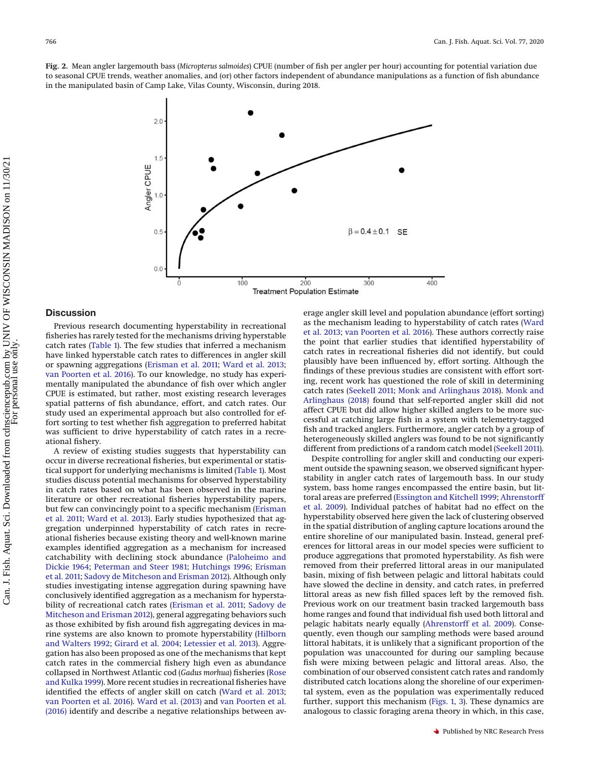<span id="page-4-0"></span>**Fig. 2.** Mean angler largemouth bass (*Micropterus salmoides*) CPUE (number of fish per angler per hour) accounting for potential variation due to seasonal CPUE trends, weather anomalies, and (or) other factors independent of abundance manipulations as a function of fish abundance in the manipulated basin of Camp Lake, Vilas County, Wisconsin, during 2018.



## **Discussion**

Previous research documenting hyperstability in recreational fisheries has rarely tested for the mechanisms driving hyperstable catch rates [\(Table 1\)](#page-2-0). The few studies that inferred a mechanism have linked hyperstable catch rates to differences in angler skill or spawning aggregations [\(Erisman et al. 2011;](#page-6-10) [Ward et al. 2013;](#page-7-2) [van Poorten et al. 2016\)](#page-7-3). To our knowledge, no study has experimentally manipulated the abundance of fish over which angler CPUE is estimated, but rather, most existing research leverages spatial patterns of fish abundance, effort, and catch rates. Our study used an experimental approach but also controlled for effort sorting to test whether fish aggregation to preferred habitat was sufficient to drive hyperstability of catch rates in a recreational fishery.

A review of existing studies suggests that hyperstability can occur in diverse recreational fisheries, but experimental or statistical support for underlying mechanisms is limited [\(Table 1\)](#page-2-0). Most studies discuss potential mechanisms for observed hyperstability in catch rates based on what has been observed in the marine literature or other recreational fisheries hyperstability papers, but few can convincingly point to a specific mechanism [\(Erisman](#page-6-10) [et al. 2011;](#page-6-10) [Ward et al. 2013\)](#page-7-2). Early studies hypothesized that aggregation underpinned hyperstability of catch rates in recreational fisheries because existing theory and well-known marine examples identified aggregation as a mechanism for increased catchability with declining stock abundance [\(Paloheimo and](#page-6-3) [Dickie 1964;](#page-6-3) [Peterman and Steer 1981;](#page-6-4) [Hutchings 1996;](#page-6-26) [Erisman](#page-6-10) [et al. 2011;](#page-6-10) [Sadovy de Mitcheson and Erisman 2012\)](#page-6-11). Although only studies investigating intense aggregation during spawning have conclusively identified aggregation as a mechanism for hyperstability of recreational catch rates [\(Erisman et al. 2011;](#page-6-10) [Sadovy de](#page-6-11) [Mitcheson and Erisman 2012\)](#page-6-11), general aggregating behaviors such as those exhibited by fish around fish aggregating devices in marine systems are also known to promote hyperstability [\(Hilborn](#page-6-0) [and Walters 1992;](#page-6-0) [Girard et al. 2004;](#page-6-27) [Letessier et al. 2013\)](#page-6-28). Aggregation has also been proposed as one of the mechanisms that kept catch rates in the commercial fishery high even as abundance collapsed in Northwest Atlantic cod (*Gadus morhua*) fisheries [\(Rose](#page-6-29) [and Kulka 1999\)](#page-6-29). More recent studies in recreational fisheries have identified the effects of angler skill on catch [\(Ward et al. 2013;](#page-7-2) [van Poorten et al. 2016\)](#page-7-3). [Ward et al. \(2013\)](#page-7-2) and [van Poorten et al.](#page-7-3) [\(2016\)](#page-7-3) identify and describe a negative relationships between average angler skill level and population abundance (effort sorting) as the mechanism leading to hyperstability of catch rates [\(Ward](#page-7-2) [et al. 2013;](#page-7-2) [van Poorten et al. 2016\)](#page-7-3). These authors correctly raise the point that earlier studies that identified hyperstability of catch rates in recreational fisheries did not identify, but could plausibly have been influenced by, effort sorting. Although the findings of these previous studies are consistent with effort sorting, recent work has questioned the role of skill in determining catch rates [\(Seekell 2011;](#page-7-10) [Monk and Arlinghaus 2018\)](#page-6-30). [Monk and](#page-6-30) [Arlinghaus \(2018\)](#page-6-30) found that self-reported angler skill did not affect CPUE but did allow higher skilled anglers to be more successful at catching large fish in a system with telemetry-tagged fish and tracked anglers. Furthermore, angler catch by a group of heterogeneously skilled anglers was found to be not significantly different from predictions of a random catch model [\(Seekell 2011\)](#page-7-10).

Despite controlling for angler skill and conducting our experiment outside the spawning season, we observed significant hyperstability in angler catch rates of largemouth bass. In our study system, bass home ranges encompassed the entire basin, but littoral areas are preferred [\(Essington and Kitchell 1999;](#page-6-12) [Ahrenstorff](#page-6-13) [et al. 2009\)](#page-6-13). Individual patches of habitat had no effect on the hyperstability observed here given the lack of clustering observed in the spatial distribution of angling capture locations around the entire shoreline of our manipulated basin. Instead, general preferences for littoral areas in our model species were sufficient to produce aggregations that promoted hyperstability. As fish were removed from their preferred littoral areas in our manipulated basin, mixing of fish between pelagic and littoral habitats could have slowed the decline in density, and catch rates, in preferred littoral areas as new fish filled spaces left by the removed fish. Previous work on our treatment basin tracked largemouth bass home ranges and found that individual fish used both littoral and pelagic habitats nearly equally [\(Ahrenstorff et al. 2009\)](#page-6-13). Consequently, even though our sampling methods were based around littoral habitats, it is unlikely that a significant proportion of the population was unaccounted for during our sampling because fish were mixing between pelagic and littoral areas. Also, the combination of our observed consistent catch rates and randomly distributed catch locations along the shoreline of our experimental system, even as the population was experimentally reduced further, support this mechanism [\(Figs. 1,](#page-3-2) [3\)](#page-5-0). These dynamics are analogous to classic foraging arena theory in which, in this case,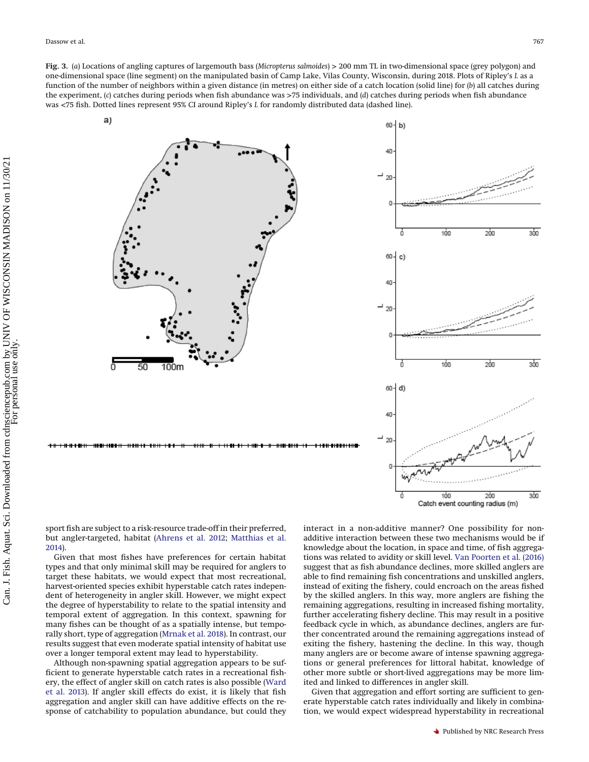<span id="page-5-0"></span>**Fig. 3.** (*a*) Locations of angling captures of largemouth bass (*Micropterus salmoides*) > 200 mm TL in two-dimensional space (grey polygon) and one-dimensional space (line segment) on the manipulated basin of Camp Lake, Vilas County, Wisconsin, during 2018. Plots of Ripley's *L* as a function of the number of neighbors within a given distance (in metres) on either side of a catch location (solid line) for (*b*) all catches during the experiment, (*c*) catches during periods when fish abundance was >75 individuals, and (*d*) catches during periods when fish abundance was <75 fish. Dotted lines represent 95% CI around Ripley's *L* for randomly distributed data (dashed line).

a)





sport fish are subject to a risk-resource trade-off in their preferred, but angler-targeted, habitat [\(Ahrens et al. 2012;](#page-6-31) [Matthias et al.](#page-6-32) [2014\)](#page-6-32).

Given that most fishes have preferences for certain habitat types and that only minimal skill may be required for anglers to target these habitats, we would expect that most recreational, harvest-oriented species exhibit hyperstable catch rates independent of heterogeneity in angler skill. However, we might expect the degree of hyperstability to relate to the spatial intensity and temporal extent of aggregation. In this context, spawning for many fishes can be thought of as a spatially intense, but temporally short, type of aggregation [\(Mrnak et al. 2018\)](#page-6-6). In contrast, our results suggest that even moderate spatial intensity of habitat use over a longer temporal extent may lead to hyperstability.

Although non-spawning spatial aggregation appears to be sufficient to generate hyperstable catch rates in a recreational fishery, the effect of angler skill on catch rates is also possible [\(Ward](#page-7-2) [et al. 2013\)](#page-7-2). If angler skill effects do exist, it is likely that fish aggregation and angler skill can have additive effects on the response of catchability to population abundance, but could they interact in a non-additive manner? One possibility for nonadditive interaction between these two mechanisms would be if knowledge about the location, in space and time, of fish aggregations was related to avidity or skill level. [Van Poorten et al. \(2016\)](#page-7-3) suggest that as fish abundance declines, more skilled anglers are able to find remaining fish concentrations and unskilled anglers, instead of exiting the fishery, could encroach on the areas fished by the skilled anglers. In this way, more anglers are fishing the remaining aggregations, resulting in increased fishing mortality, further accelerating fishery decline. This may result in a positive feedback cycle in which, as abundance declines, anglers are further concentrated around the remaining aggregations instead of exiting the fishery, hastening the decline. In this way, though many anglers are or become aware of intense spawning aggregations or general preferences for littoral habitat, knowledge of other more subtle or short-lived aggregations may be more limited and linked to differences in angler skill.

Given that aggregation and effort sorting are sufficient to generate hyperstable catch rates individually and likely in combination, we would expect widespread hyperstability in recreational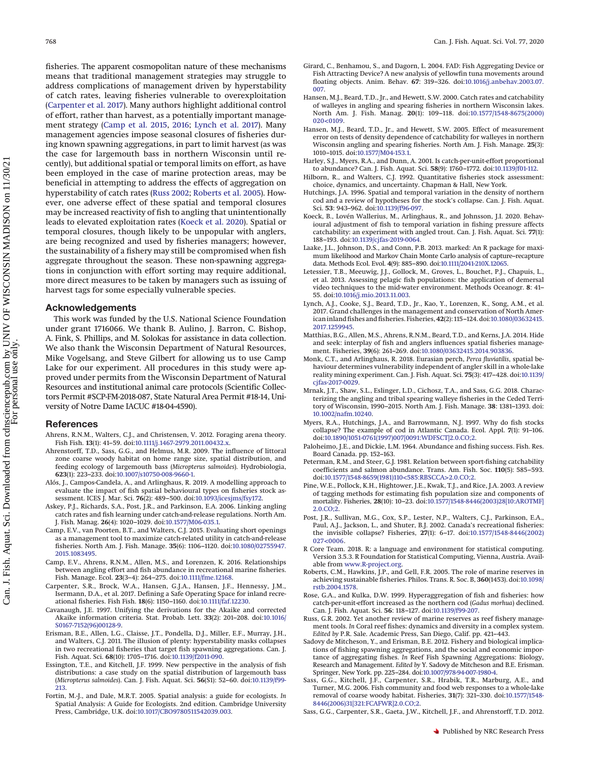<span id="page-6-23"></span>fisheries. The apparent cosmopolitan nature of these mechanisms means that traditional management strategies may struggle to address complications of management driven by hyperstability of catch rates, leaving fisheries vulnerable to overexploitation [\(Carpenter et al. 2017\)](#page-6-33). Many authors highlight additional control of effort, rather than harvest, as a potentially important management strategy [\(Camp et al. 2015,](#page-6-34) [2016;](#page-6-35) [Lynch et al. 2017\)](#page-6-36). Many management agencies impose seasonal closures of fisheries during known spawning aggregations, in part to limit harvest (as was the case for largemouth bass in northern Wisconsin until recently), but additional spatial or temporal limits on effort, as have been employed in the case of marine protection areas, may be beneficial in attempting to address the effects of aggregation on hyperstability of catch rates [\(Russ 2002;](#page-6-37) [Roberts et al. 2005\)](#page-6-38). However, one adverse effect of these spatial and temporal closures may be increased reactivity of fish to angling that unintentionally leads to elevated exploitation rates [\(Koeck et al. 2020\)](#page-6-39). Spatial or temporal closures, though likely to be unpopular with anglers, are being recognized and used by fisheries managers; however, the sustainability of a fishery may still be compromised when fish aggregate throughout the season. These non-spawning aggregations in conjunction with effort sorting may require additional, more direct measures to be taken by managers such as issuing of harvest tags for some especially vulnerable species.

## **Acknowledgements**

This work was funded by the U.S. National Science Foundation under grant 1716066. We thank B. Aulino, J. Barron, C. Bishop, A. Fink, S. Phillips, and M. Solokas for assistance in data collection. We also thank the Wisconsin Department of Natural Resources, Mike Vogelsang, and Steve Gilbert for allowing us to use Camp Lake for our experiment. All procedures in this study were approved under permits from the Wisconsin Department of Natural Resources and institutional animal care protocols (Scientific Collectors Permit #SCP-FM-2018-087, State Natural Area Permit #18-14, University of Notre Dame IACUC #18-04-4590).

#### **References**

- <span id="page-6-31"></span>Ahrens, R.N.M., Walters, C.J., and Christensen, V. 2012. Foraging arena theory. Fish Fish. **13**(1): 41–59. doi[:10.1111/j.1467-2979.2011.00432.x.](http://dx.doi.org/10.1111/j.1467-2979.2011.00432.x)
- <span id="page-6-13"></span>Ahrenstorff, T.D., Sass, G.G., and Helmus, M.R. 2009. The influence of littoral zone coarse woody habitat on home range size, spatial distribution, and feeding ecology of largemouth bass (*Micropterus salmoides*). Hydrobiologia, **623**(1): 223–233. doi[:10.1007/s10750-008-9660-1.](http://dx.doi.org/10.1007/s10750-008-9660-1)
- <span id="page-6-2"></span>Alós, J., Campos-Candela, A., and Arlinghaus, R. 2019. A modelling approach to evaluate the impact of fish spatial behavioural types on fisheries stock assessment. ICES J. Mar. Sci. **76**(2): 489–500. doi[:10.1093/icesjms/fsy172.](http://dx.doi.org/10.1093/icesjms/fsy172)
- <span id="page-6-1"></span>Askey, P.J., Richards, S.A., Post, J.R., and Parkinson, E.A. 2006. Linking angling catch rates and fish learning under catch-and-release regulations. North Am. J. Fish. Manag. **26**(4): 1020–1029. doi[:10.1577/M06-035.1.](http://dx.doi.org/10.1577/M06-035.1)
- <span id="page-6-34"></span>Camp, E.V., van Poorten, B.T., and Walters, C.J. 2015. Evaluating short openings as a management tool to maximize catch-related utility in catch-and-release fisheries. North Am. J. Fish. Manage. **35**(6): 1106–1120. doi[:10.1080/02755947.](http://dx.doi.org/10.1080/02755947.2015.1083495) [2015.1083495.](http://dx.doi.org/10.1080/02755947.2015.1083495)
- <span id="page-6-35"></span>Camp, E.V., Ahrens, R.N.M., Allen, M.S., and Lorenzen, K. 2016. Relationships between angling effort and fish abundance in recreational marine fisheries. Fish. Manage. Ecol. **23**(3–4): 264–275. doi[:10.1111/fme.12168.](http://dx.doi.org/10.1111/fme.12168)
- <span id="page-6-33"></span>Carpenter, S.R., Brock, W.A., Hansen, G.J.A., Hansen, J.F., Hennessy, J.M., Isermann, D.A., et al. 2017. Defining a Safe Operating Space for inland recreational fisheries. Fish Fish. **18**(6): 1150–1160. doi[:10.1111/faf.12230.](http://dx.doi.org/10.1111/faf.12230)
- <span id="page-6-19"></span>Cavanaugh, J.E. 1997. Unifying the derivations for the Akaike and corrected Akaike information criteria. Stat. Probab. Lett. **33**(2): 201–208. doi[:10.1016/](http://dx.doi.org/10.1016/S0167-7152(96)00128-9) [S0167-7152\(96\)00128-9.](http://dx.doi.org/10.1016/S0167-7152(96)00128-9)
- <span id="page-6-10"></span>Erisman, B.E., Allen, L.G., Claisse, J.T., Pondella, D.J., Miller, E.F., Murray, J.H., and Walters, C.J. 2011. The illusion of plenty: hyperstability masks collapses in two recreational fisheries that target fish spawning aggregations. Can. J. Fish. Aquat. Sci. **68**(10): 1705–1716. doi[:10.1139/f2011-090.](http://dx.doi.org/10.1139/f2011-090)
- <span id="page-6-12"></span>Essington, T.E., and Kitchell, J.F. 1999. New perspective in the analysis of fish distributions: a case study on the spatial distribution of largemouth bass (*Micropterus salmoides*). Can. J. Fish. Aquat. Sci. **56**(S1): 52–60. doi[:10.1139/f99-](http://dx.doi.org/10.1139/f99-213) [213.](http://dx.doi.org/10.1139/f99-213)
- <span id="page-6-25"></span>Fortin, M.-J., and Dale, M.R.T. 2005. Spatial analysis: a guide for ecologists. *In* Spatial Analysis: A Guide for Ecologists. 2nd edition. Cambridge University Press, Cambridge, U.K. doi[:10.1017/CBO9780511542039.003.](http://dx.doi.org/10.1017/CBO9780511542039.003)
- <span id="page-6-27"></span>Girard, C., Benhamou, S., and Dagorn, L. 2004. FAD: Fish Aggregating Device or Fish Attracting Device? A new analysis of yellowfin tuna movements around floating objects. Anim. Behav. **67**: 319–326. doi[:10.1016/j.anbehav.2003.07.](http://dx.doi.org/10.1016/j.anbehav.2003.07.007) [007.](http://dx.doi.org/10.1016/j.anbehav.2003.07.007)
- Hansen, M.J., Beard, T.D., Jr., and Hewett, S.W. 2000. Catch rates and catchability of walleyes in angling and spearing fisheries in northern Wisconsin lakes. North Am. J. Fish. Manag. **20**(1): 109–118. doi[:10.1577/1548-8675\(2000\)](http://dx.doi.org/10.1577/1548-8675(2000)020%3C0109) [020<0109.](http://dx.doi.org/10.1577/1548-8675(2000)020%3C0109)
- <span id="page-6-9"></span>Hansen, M.J., Beard, T.D., Jr., and Hewett, S.W. 2005. Effect of measurement error on tests of density dependence of catchability for walleyes in northern Wisconsin angling and spearing fisheries. North Am. J. Fish. Manage. **25**(3): 1010–1015. doi[:10.1577/M04-153.1.](http://dx.doi.org/10.1577/M04-153.1)
- <span id="page-6-5"></span>Harley, S.J., Myers, R.A., and Dunn, A. 2001. Is catch-per-unit-effort proportional to abundance? Can. J. Fish. Aquat. Sci. **58**(9): 1760–1772. doi[:10.1139/f01-112.](http://dx.doi.org/10.1139/f01-112)
- <span id="page-6-0"></span>Hilborn, R., and Walters, C.J. 1992. Quantitative fisheries stock assessment: choice, dynamics, and uncertainty. Chapman & Hall, New York.
- <span id="page-6-26"></span>Hutchings, J.A. 1996. Spatial and temporal variation in the density of northern cod and a review of hypotheses for the stock's collapse. Can. J. Fish. Aquat. Sci. **53**: 943–962. doi[:10.1139/f96-097.](http://dx.doi.org/10.1139/f96-097)
- <span id="page-6-39"></span>Koeck, B., Lovén Wallerius, M., Arlinghaus, R., and Johnsson, J.I. 2020. Behavioural adjustment of fish to temporal variation in fishing pressure affects catchability: an experiment with angled trout. Can. J. Fish. Aquat. Sci. **77**(1): 188–193. doi[:10.1139/cjfas-2019-0064.](http://dx.doi.org/10.1139/cjfas-2019-0064)
- <span id="page-6-16"></span>Laake, J.L., Johnson, D.S., and Conn, P.B. 2013. marked: An R package for maximum likelihood and Markov Chain Monte Carlo analysis of capture–recapture data. Methods Ecol. Evol. **4**(9): 885–890. doi[:10.1111/2041-210X.12065.](http://dx.doi.org/10.1111/2041-210X.12065)
- <span id="page-6-28"></span><span id="page-6-22"></span><span id="page-6-21"></span>Letessier, T.B., Meeuwig, J.J., Gollock, M., Groves, L., Bouchet, P.J., Chapuis, L., et al. 2013. Assessing pelagic fish populations: the application of demersal video techniques to the mid-water environment. Methods Oceanogr. **8**: 41– 55. doi[:10.1016/j.mio.2013.11.003.](http://dx.doi.org/10.1016/j.mio.2013.11.003)
- <span id="page-6-36"></span><span id="page-6-24"></span><span id="page-6-20"></span>Lynch, A.J., Cooke, S.J., Beard, T.D., Jr., Kao, Y., Lorenzen, K., Song, A.M., et al. 2017. Grand challenges in the management and conservation of North American inland fishes and fisheries. Fisheries,**42**(2): 115–124. doi[:10.1080/03632415.](http://dx.doi.org/10.1080/03632415.2017.1259945) [2017.1259945.](http://dx.doi.org/10.1080/03632415.2017.1259945)
- <span id="page-6-32"></span>Matthias, B.G., Allen, M.S., Ahrens, R.N.M., Beard, T.D., and Kerns, J.A. 2014. Hide and seek: interplay of fish and anglers influences spatial fisheries management. Fisheries, **39**(6): 261–269. doi[:10.1080/03632415.2014.903836.](http://dx.doi.org/10.1080/03632415.2014.903836)
- <span id="page-6-30"></span>Monk, C.T., and Arlinghaus, R. 2018. Eurasian perch, *Perca fluviatilis*, spatial behaviour determines vulnerability independent of angler skill in a whole-lake reality mining experiment. Can. J. Fish. Aquat. Sci. **75**(3): 417–428. doi[:10.1139/](http://dx.doi.org/10.1139/cjfas-2017-0029) [cjfas-2017-0029.](http://dx.doi.org/10.1139/cjfas-2017-0029)
- <span id="page-6-6"></span>Mrnak, J.T., Shaw, S.L., Eslinger, L.D., Cichosz, T.A., and Sass, G.G. 2018. Characterizing the angling and tribal spearing walleye fisheries in the Ceded Territory of Wisconsin, 1990–2015. North Am. J. Fish. Manage. **38**: 1381–1393. doi: [10.1002/nafm.10240.](http://dx.doi.org/10.1002/nafm.10240)
- <span id="page-6-8"></span>Myers, R.A., Hutchings, J.A., and Barrowmann, N.J. 1997. Why do fish stocks collapse? The example of cod in Atlantic Canada. Ecol. Appl. **7**(1): 91–106. doi[:10.1890/1051-0761\(1997\)007\[0091:WDFSCT\]2.0.CO;2.](http://dx.doi.org/10.1890/1051-0761(1997)007%5B0091%3AWDFSCT%5D2.0.CO;2)
- <span id="page-6-3"></span>Paloheimo, J.E., and Dickie, L.M. 1964. Abundance and fishing success. Fish. Res. Board Canada. pp. 152–163.
- <span id="page-6-4"></span>Peterman, R.M., and Steer, G.J. 1981. Relation between sport-fishing catchability coefficients and salmon abundance. Trans. Am. Fish. Soc. **110**(5): 585–593. doi[:10.1577/1548-8659\(1981\)110<585:RBSCCA>2.0.CO;2.](http://dx.doi.org/10.1577/1548-8659(1981)110%3C585%3ARBSCCA%3E2.0.CO;2)
- <span id="page-6-18"></span>Pine, W.E., Pollock, K.H., Hightower, J.E., Kwak, T.J., and Rice, J.A. 2003. A review of tagging methods for estimating fish population size and components of mortality. Fisheries, **28**(10): 10–23. doi[:10.1577/1548-8446\(2003\)28\[10:AROTMF\]](http://dx.doi.org/10.1577/1548-8446(2003)28%5B10%3AAROTMF%5D2.0.CO;2) [2.0.CO;2.](http://dx.doi.org/10.1577/1548-8446(2003)28%5B10%3AAROTMF%5D2.0.CO;2)
- <span id="page-6-7"></span>Post, J.R., Sullivan, M.G., Cox, S.P., Lester, N.P., Walters, C.J., Parkinson, E.A., Paul, A.J., Jackson, L., and Shuter, B.J. 2002. Canada's recreational fisheries: the invisible collapse? Fisheries, **27**(1): 6–17. doi[:10.1577/1548-8446\(2002\)](http://dx.doi.org/10.1577/1548-8446(2002)027%3C0006) [027<0006.](http://dx.doi.org/10.1577/1548-8446(2002)027%3C0006)
- <span id="page-6-17"></span>R Core Team. 2018. R: a language and environment for statistical computing. Version 3.5.3. R Foundation for Statistical Computing, Vienna, Austria. Available from [www.R-project.org.](http://www.R-project.org)
- <span id="page-6-38"></span>Roberts, C.M., Hawkins, J.P., and Gell, F.R. 2005. The role of marine reserves in achieving sustainable fisheries. Philos. Trans. R. Soc. B, **360**(1453). doi[:10.1098/](http://dx.doi.org/10.1098/rstb.2004.1578) [rstb.2004.1578.](http://dx.doi.org/10.1098/rstb.2004.1578)
- <span id="page-6-29"></span>Rose, G.A., and Kulka, D.W. 1999. Hyperaggregation of fish and fisheries: how catch-per-unit-effort increased as the northern cod (*Gadus morhua*) declined. Can. J. Fish. Aquat. Sci. **56**: 118–127. doi[:10.1139/f99-207.](http://dx.doi.org/10.1139/f99-207)
- <span id="page-6-37"></span>Russ, G.R. 2002. Yet another review of marine reserves as reef fishery management tools. *In* Coral reef fishes: dynamics and diversity in a complex system. *Edited by* P.R. Sale. Academic Press, San Diego, Calif. pp. 421–443.
- <span id="page-6-11"></span>Sadovy de Mitcheson, Y., and Erisman, B.E. 2012. Fishery and biological implications of fishing spawning aggregations, and the social and economic importance of aggregating fishes. *In* Reef Fish Spawning Aggregations: Biology, Research and Management. *Edited by* Y. Sadovy de Mitcheson and B.E. Erisman. Springer, New York. pp. 225–284. doi[:10.1007/978-94-007-1980-4.](http://dx.doi.org/10.1007/978-94-007-1980-4)
- <span id="page-6-14"></span>Sass, G.G., Kitchell, J.F., Carpenter, S.R., Hrabik, T.R., Marburg, A.E., and Turner, M.G. 2006. Fish community and food web responses to a whole-lake removal of coarse woody habitat. Fisheries, **31**(7): 321–330. doi[:10.1577/1548-](http://dx.doi.org/10.1577/1548-8446(2006)31%5B321%3AFCAFWR%5D2.0.CO;2) [8446\(2006\)31\[321:FCAFWR\]2.0.CO;2.](http://dx.doi.org/10.1577/1548-8446(2006)31%5B321%3AFCAFWR%5D2.0.CO;2)
- <span id="page-6-15"></span>Sass, G.G., Carpenter, S.R., Gaeta, J.W., Kitchell, J.F., and Ahrenstorff, T.D. 2012.